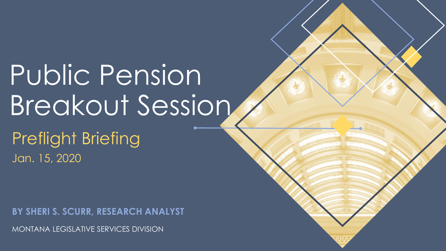# Public Pension Breakout Session

Preflight Briefing Jan. 15, 2020

**BY SHERI S. SCURR, RESEARCH ANALYST**

MONTANA LEGISLATIVE SERVICES DIVISION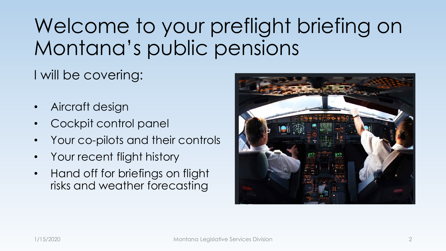# Welcome to your preflight briefing on Montana's public pensions

I will be covering:

- Aircraft design
- Cockpit control panel
- Your co-pilots and their controls
- Your recent flight history
- Hand off for briefings on flight risks and weather forecasting

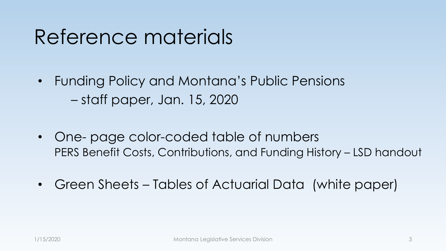### Reference materials

- Funding Policy and Montana's Public Pensions – staff paper, Jan. 15, 2020
- One- page color-coded table of numbers PERS Benefit Costs, Contributions, and Funding History – LSD handout
- Green Sheets Tables of Actuarial Data (white paper)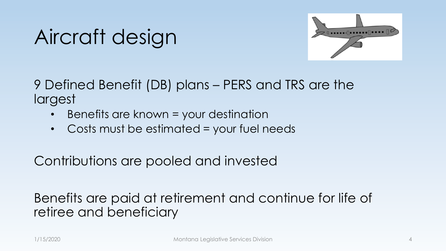# Aircraft design



9 Defined Benefit (DB) plans – PERS and TRS are the largest

- Benefits are known = your destination
- Costs must be estimated = your fuel needs

Contributions are pooled and invested

Benefits are paid at retirement and continue for life of retiree and beneficiary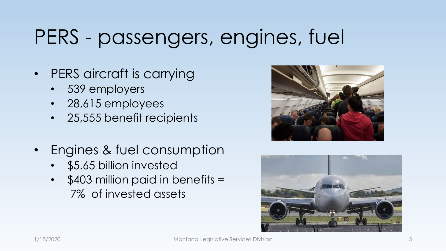# PERS - passengers, engines, fuel

- PERS aircraft is carrying
	- 539 employers
	- 28,615 employees
	- 25,555 benefit recipients
- Engines & fuel consumption
	- \$5.65 billion invested
	- \$403 million paid in benefits = 7% of invested assets



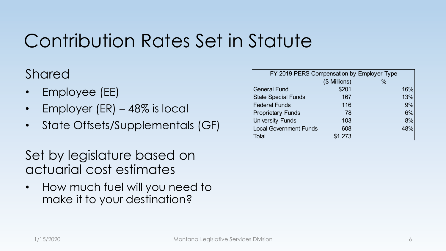### Contribution Rates Set in Statute

#### Shared

- Employee (EE)
- Employer (ER) 48% is local
- State Offsets/Supplementals (GF)

Set by legislature based on actuarial cost estimates

• How much fuel will you need to make it to your destination?

| FY 2019 PERS Compensation by Employer Type |               |               |     |
|--------------------------------------------|---------------|---------------|-----|
|                                            | (\$ Millions) | $\frac{0}{0}$ |     |
| <b>General Fund</b>                        | \$201         |               | 16% |
| <b>State Special Funds</b>                 | 167           |               | 13% |
| <b>Federal Funds</b>                       | 116           |               | 9%  |
| <b>Proprietary Funds</b>                   | 78            |               | 6%  |
| <b>University Funds</b>                    | 103           |               | 8%  |
| <b>Local Government Funds</b>              | 608           |               | 48% |
| Total                                      | \$1,273       |               |     |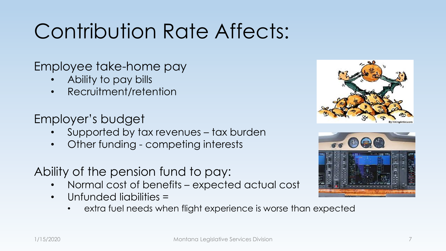# Contribution Rate Affects:

Employee take-home pay

- Ability to pay bills
- Recruitment/retention

Employer's budget

- Supported by tax revenues tax burden
- Other funding competing interests
- Ability of the pension fund to pay:
	- Normal cost of benefits expected actual cost
	- Unfunded liabilities =
		- extra fuel needs when flight experience is worse than expected



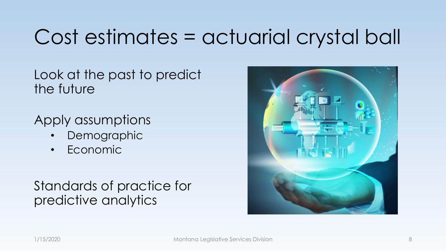# Cost estimates = actuarial crystal ball

Look at the past to predict the future

Apply assumptions

- **Demographic**
- Economic

#### Standards of practice for predictive analytics

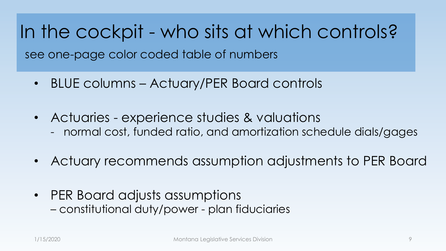In the cockpit - who sits at which controls? see one-page color coded table of numbers

- BLUE columns Actuary/PER Board controls
- Actuaries experience studies & valuations - normal cost, funded ratio, and amortization schedule dials/gages
- Actuary recommends assumption adjustments to PER Board
- PER Board adjusts assumptions – constitutional duty/power - plan fiduciaries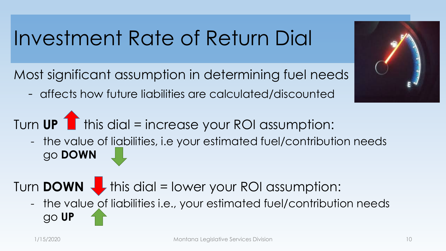### Investment Rate of Return Dial

Most significant assumption in determining fuel needs

- affects how future liabilities are calculated/discounted

Turn UP 1 this dial = increase your ROI assumption:

- the value of liabilities, i.e your estimated fuel/contribution needs go **DOWN**

### Turn **DOWN this dial = lower your ROI assumption:**

- the value of liabilities i.e., your estimated fuel/contribution needs go **UP**

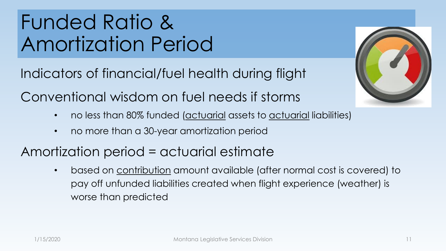# Funded Ratio & Amortization Period

Indicators of financial/fuel health during flight

Conventional wisdom on fuel needs if storms

- no less than 80% funded (actuarial assets to actuarial liabilities)
- no more than a 30-year amortization period

### Amortization period = actuarial estimate

• based on contribution amount available (after normal cost is covered) to pay off unfunded liabilities created when flight experience (weather) is worse than predicted

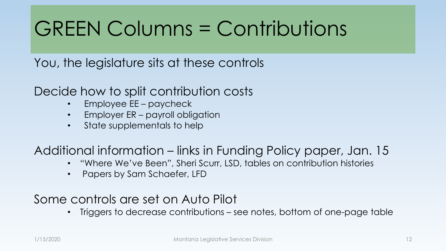# GREEN Columns = Contributions

You, the legislature sits at these controls

Decide how to split contribution costs

- Employee EE paycheck
- Employer ER payroll obligation
- State supplementals to help

Additional information – links in Funding Policy paper, Jan. 15

- "Where We've Been", Sheri Scurr, LSD, tables on contribution histories
- Papers by Sam Schaefer, LFD

#### Some controls are set on Auto Pilot

• Triggers to decrease contributions – see notes, bottom of one-page table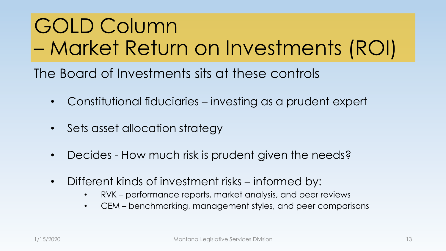# GOLD Column – Market Return on Investments (ROI)

The Board of Investments sits at these controls

- Constitutional fiduciaries investing as a prudent expert
- Sets asset allocation strategy
- Decides How much risk is prudent given the needs?
- Different kinds of investment risks informed by:
	- RVK performance reports, market analysis, and peer reviews
	- CEM benchmarking, management styles, and peer comparisons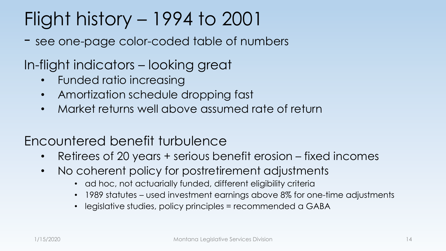### Flight history – 1994 to 2001

- see one-page color-coded table of numbers

In-flight indicators – looking great

- Funded ratio increasing
- Amortization schedule dropping fast
- Market returns well above assumed rate of return

#### Encountered benefit turbulence

- Retirees of 20 years + serious benefit erosion fixed incomes
- No coherent policy for postretirement adjustments
	- ad hoc, not actuarially funded, different eligibility criteria
	- 1989 statutes used investment earnings above 8% for one-time adjustments
	- legislative studies, policy principles = recommended a GABA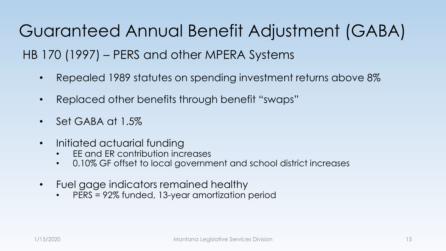Guaranteed Annual Benefit Adjustment (GABA) HB 170 (1997) – PERS and other MPERA Systems

- Repealed 1989 statutes on spending investment returns above 8%
- Replaced other benefits through benefit "swaps"
- Set GABA at 1.5%
- Initiated actuarial funding
	- EE and ER contribution increases
	- 0.10% GF offset to local government and school district increases
- Fuel gage indicators remained healthy
	- PERS = 92% funded, 13-year amortization period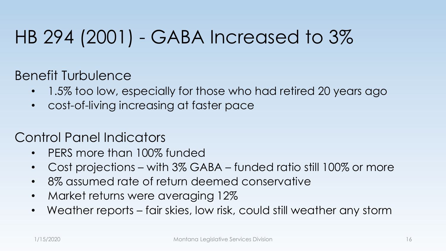### HB 294 (2001) - GABA Increased to 3%

Benefit Turbulence

- 1.5% too low, especially for those who had retired 20 years ago
- cost-of-living increasing at faster pace

#### Control Panel Indicators

- PERS more than 100% funded
- Cost projections with 3% GABA funded ratio still 100% or more
- 8% assumed rate of return deemed conservative
- Market returns were averaging 12%
- Weather reports fair skies, low risk, could still weather any storm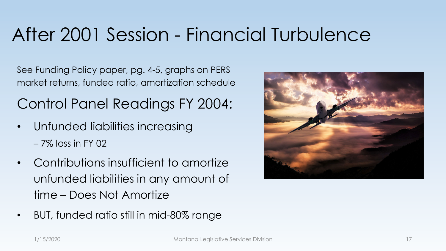### After 2001 Session - Financial Turbulence

See Funding Policy paper, pg. 4-5, graphs on PERS market returns, funded ratio, amortization schedule

Control Panel Readings FY 2004:

- Unfunded liabilities increasing – 7% loss in FY 02
- Contributions insufficient to amortize unfunded liabilities in any amount of time – Does Not Amortize
- BUT, funded ratio still in mid-80% range

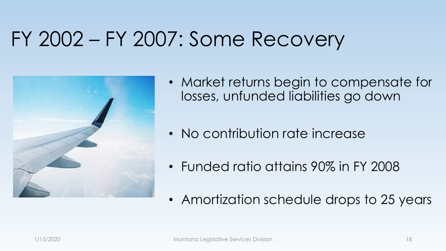### FY 2002 – FY 2007: Some Recovery



- Market returns begin to compensate for losses, unfunded liabilities go down
- No contribution rate increase
- Funded ratio attains 90% in FY 2008
- Amortization schedule drops to 25 years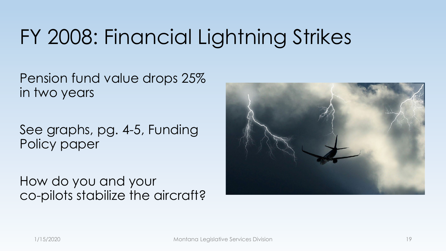# FY 2008: Financial Lightning Strikes

Pension fund value drops 25% in two years

See graphs, pg. 4-5, Funding Policy paper

How do you and your co-pilots stabilize the aircraft?

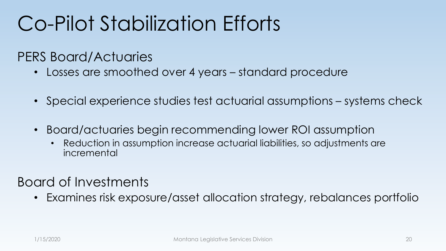# Co-Pilot Stabilization Efforts

#### PERS Board/Actuaries

- Losses are smoothed over 4 years standard procedure
- Special experience studies test actuarial assumptions systems check
- Board/actuaries begin recommending lower ROI assumption
	- Reduction in assumption increase actuarial liabilities, so adjustments are incremental

#### Board of Investments

• Examines risk exposure/asset allocation strategy, rebalances portfolio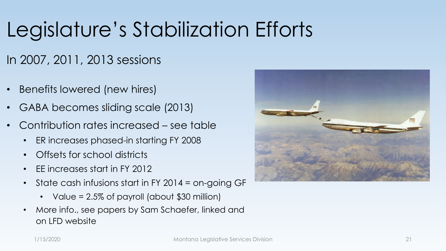# Legislature's Stabilization Efforts

#### In 2007, 2011, 2013 sessions

- Benefits lowered (new hires)
- GABA becomes sliding scale (2013)
- Contribution rates increased see table
	- ER increases phased-in starting FY 2008
	- Offsets for school districts
	- EE increases start in FY 2012
	- State cash infusions start in FY 2014 = on-going GF
		- Value = 2.5% of payroll (about \$30 million)
	- More info., see papers by Sam Schaefer, linked and on LFD website

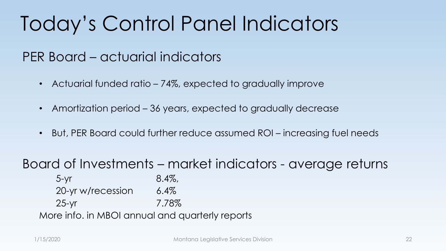# Today's Control Panel Indicators

### PER Board – actuarial indicators

- Actuarial funded ratio 74%, expected to gradually improve
- Amortization period 36 years, expected to gradually decrease
- But, PER Board could further reduce assumed ROI increasing fuel needs

Board of Investments – market indicators - average returns

 $5-yr$  8.4%, 20-yr w/recession 6.4% 25-yr 7.78% More info. in MBOI annual and quarterly reports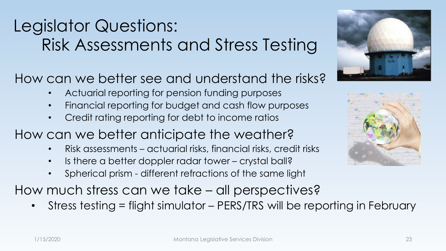### Legislator Questions: Risk Assessments and Stress Testing

How can we better see and understand the risks?

- Actuarial reporting for pension funding purposes
- Financial reporting for budget and cash flow purposes
- Credit rating reporting for debt to income ratios
- How can we better anticipate the weather?
	- Risk assessments actuarial risks, financial risks, credit risks
	- Is there a better doppler radar tower crystal ball?
	- Spherical prism different refractions of the same light

How much stress can we take – all perspectives?

• Stress testing = flight simulator - PERS/TRS will be reporting in February